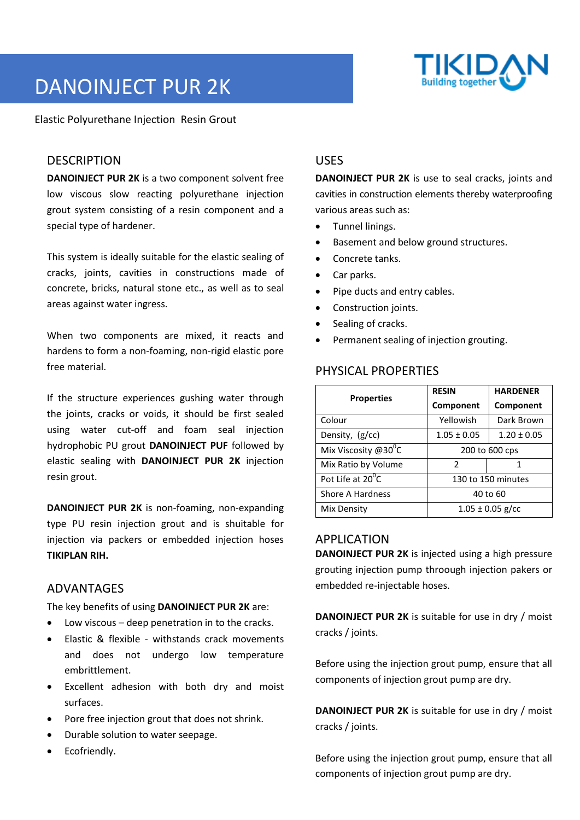

# DANOINJECT PUR 2K

Elastic Polyurethane Injection Resin Grout

## **DESCRIPTION**

**DANOINJECT PUR 2K** is a two component solvent free low viscous slow reacting polyurethane injection grout system consisting of a resin component and a special type of hardener.

This system is ideally suitable for the elastic sealing of cracks, joints, cavities in constructions made of concrete, bricks, natural stone etc., as well as to seal areas against water ingress.

When two components are mixed, it reacts and hardens to form a non-foaming, non-rigid elastic pore free material.

If the structure experiences gushing water through the joints, cracks or voids, it should be first sealed using water cut-off and foam seal injection hydrophobic PU grout **DANOINJECT PUF** followed by elastic sealing with **DANOINJECT PUR 2K** injection resin grout.

**DANOINJECT PUR 2K** is non-foaming, non-expanding type PU resin injection grout and is shuitable for injection via packers or embedded injection hoses **TIKIPLAN RIH.** 

#### ADVANTAGES

The key benefits of using **DANOINJECT PUR 2K** are:

- Low viscous deep penetration in to the cracks.
- Elastic & flexible withstands crack movements and does not undergo low temperature embrittlement.
- Excellent adhesion with both dry and moist surfaces.
- Pore free injection grout that does not shrink.
- Durable solution to water seepage.
- Ecofriendly.

# USES

**DANOINJECT PUR 2K** is use to seal cracks, joints and cavities in construction elements thereby waterproofing various areas such as:

- Tunnel linings.
- Basement and below ground structures.
- Concrete tanks.
- Car parks.
- Pipe ducts and entry cables.
- Construction joints.
- Sealing of cracks.
- Permanent sealing of injection grouting.

# PHYSICAL PROPERTIES

| <b>Properties</b>                | <b>RESIN</b>         | <b>HARDENER</b> |
|----------------------------------|----------------------|-----------------|
|                                  | Component            | Component       |
| Colour                           | Yellowish            | Dark Brown      |
| Density, (g/cc)                  | $1.05 \pm 0.05$      | $1.20 \pm 0.05$ |
| Mix Viscosity @30 $\mathrm{^0C}$ | 200 to 600 cps       |                 |
| Mix Ratio by Volume              | $\mathcal{P}$        | 1               |
| Pot Life at 20 <sup>0</sup> C    | 130 to 150 minutes   |                 |
| <b>Shore A Hardness</b>          | 40 to 60             |                 |
| Mix Density                      | $1.05 \pm 0.05$ g/cc |                 |

#### APPLICATION

**DANOINJECT PUR 2K** is injected using a high pressure grouting injection pump throough injection pakers or embedded re-injectable hoses.

**DANOINJECT PUR 2K** is suitable for use in dry / moist cracks / joints.

Before using the injection grout pump, ensure that all components of injection grout pump are dry.

**DANOINJECT PUR 2K** is suitable for use in dry / moist cracks / joints.

Before using the injection grout pump, ensure that all components of injection grout pump are dry.